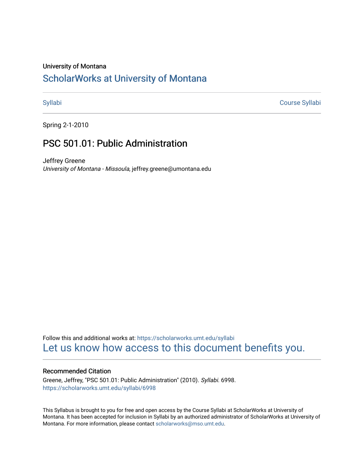# University of Montana

# [ScholarWorks at University of Montana](https://scholarworks.umt.edu/)

[Syllabi](https://scholarworks.umt.edu/syllabi) [Course Syllabi](https://scholarworks.umt.edu/course_syllabi) 

Spring 2-1-2010

# PSC 501.01: Public Administration

Jeffrey Greene University of Montana - Missoula, jeffrey.greene@umontana.edu

Follow this and additional works at: [https://scholarworks.umt.edu/syllabi](https://scholarworks.umt.edu/syllabi?utm_source=scholarworks.umt.edu%2Fsyllabi%2F6998&utm_medium=PDF&utm_campaign=PDFCoverPages)  [Let us know how access to this document benefits you.](https://goo.gl/forms/s2rGfXOLzz71qgsB2) 

# Recommended Citation

Greene, Jeffrey, "PSC 501.01: Public Administration" (2010). Syllabi. 6998. [https://scholarworks.umt.edu/syllabi/6998](https://scholarworks.umt.edu/syllabi/6998?utm_source=scholarworks.umt.edu%2Fsyllabi%2F6998&utm_medium=PDF&utm_campaign=PDFCoverPages)

This Syllabus is brought to you for free and open access by the Course Syllabi at ScholarWorks at University of Montana. It has been accepted for inclusion in Syllabi by an authorized administrator of ScholarWorks at University of Montana. For more information, please contact [scholarworks@mso.umt.edu.](mailto:scholarworks@mso.umt.edu)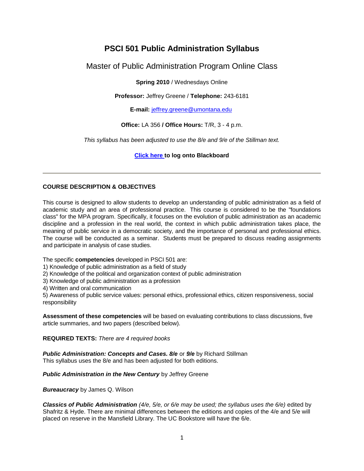# **PSCI 501 Public Administration Syllabus**

Master of Public Administration Program Online Class

**Spring 2010** / Wednesdays Online

**Professor:** Jeffrey Greene / **Telephone:** 243-6181

**E-mail:** jeffrey.greene@umontana.edu

# **Office:** LA 356 **/ Office Hours:** T/R, 3 - 4 p.m.

*This syllabus has been adjusted to use the 8/e and 9/e of the Stillman text.*

**Click here to log onto Blackboard**

# **COURSE DESCRIPTION & OBJECTIVES**

This course is designed to allow students to develop an understanding of public administration as a field of academic study and an area of professional practice. This course is considered to be the "foundations class" for the MPA program. Specifically, it focuses on the evolution of public administration as an academic discipline and a profession in the real world, the context in which public administration takes place, the meaning of public service in a democratic society, and the importance of personal and professional ethics. The course will be conducted as a seminar. Students must be prepared to discuss reading assignments and participate in analysis of case studies.

The specific **competencies** developed in PSCI 501 are:

- 1) Knowledge of public administration as a field of study
- 2) Knowledge of the political and organization context of public administration
- 3) Knowledge of public administration as a profession
- 4) Written and oral communication

5) Awareness of public service values: personal ethics, professional ethics, citizen responsiveness, social responsibility

**Assessment of these competencies** will be based on evaluating contributions to class discussions, five article summaries, and two papers (described below).

# **REQUIRED TEXTS:** *There are 4 required books*

*Public Administration: Concepts and Cases. 8/e* or *9/e* by Richard Stillman This syllabus uses the 8/e and has been adjusted for both editions.

# *Public Administration in the New Century* by Jeffrey Greene

*Bureaucracy* by James Q. Wilson

*Classics of Public Administration (4/e, 5/e, or 6/e may be used; the syllabus uses the 6/e)* edited by Shafritz & Hyde. There are minimal differences between the editions and copies of the 4/e and 5/e will placed on reserve in the Mansfield Library. The UC Bookstore will have the 6/e.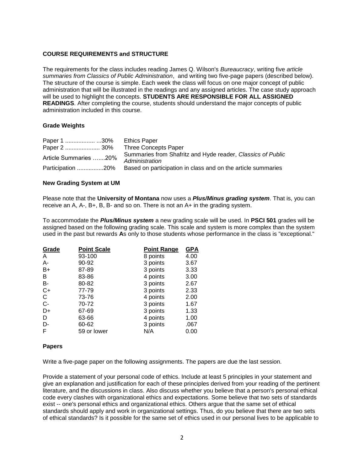# **COURSE REQUIREMENTS and STRUCTURE**

The requirements for the class includes reading James Q. Wilson's *Bureaucracy*, writing five *article summaries from Classics of Public Administration*, and writing two five-page papers (described below). The structure of the course is simple. Each week the class will focus on one major concept of public administration that will be illustrated in the readings and any assigned articles. The case study approach will be used to highlight the concepts. **STUDENTS ARE RESPONSIBLE FOR ALL ASSIGNED READINGS**. After completing the course, students should understand the major concepts of public administration included in this course.

# **Grade Weights**

| Paper 1 30%           | <b>Ethics Paper</b>                                                           |
|-----------------------|-------------------------------------------------------------------------------|
|                       |                                                                               |
| Article Summaries 20% | Summaries from Shafritz and Hyde reader, Classics of Public<br>Administration |
| Participation 20%     | Based on participation in class and on the article summaries                  |

# **New Grading System at UM**

Please note that the **University of Montana** now uses a *Plus/Minus grading system*. That is, you can receive an A, A-, B+, B, B- and so on. There is not an A+ in the grading system.

To accommodate the *Plus/Minus system* a new grading scale will be used. In **PSCI 501** grades will be assigned based on the following grading scale. This scale and system is more complex than the system used in the past but rewards **A**s only to those students whose performance in the class is "exceptional."

| Grade | <b>Point Scale</b> | <b>Point Range</b> | <u>GPA</u> |
|-------|--------------------|--------------------|------------|
| A     | 93-100             | 8 points           | 4.00       |
| A-    | 90-92              | 3 points           | 3.67       |
| B+    | 87-89              | 3 points           | 3.33       |
| B     | 83-86              | 4 points           | 3.00       |
| B-    | 80-82              | 3 points           | 2.67       |
| $C+$  | 77-79              | 3 points           | 2.33       |
| C     | 73-76              | 4 points           | 2.00       |
| $C -$ | 70-72              | 3 points           | 1.67       |
| D+    | 67-69              | 3 points           | 1.33       |
| D     | 63-66              | 4 points           | 1.00       |
| D-    | 60-62              | 3 points           | .067       |
| F     | 59 or lower        | N/A                | 0.00       |

# **Papers**

Write a five-page paper on the following assignments. The papers are due the last session.

Provide a statement of your personal code of ethics. Include at least 5 principles in your statement and give an explanation and justification for each of these principles derived from your reading of the pertinent literature, and the discussions in class. Also discuss whether you believe that a person's personal ethical code every clashes with organizational ethics and expectations. Some believe that two sets of standards exist -- one's personal ethics and organizational ethics. Others argue that the same set of ethical standards should apply and work in organizational settings. Thus, do you believe that there are two sets of ethical standards? Is it possible for the same set of ethics used in our personal lives to be applicable to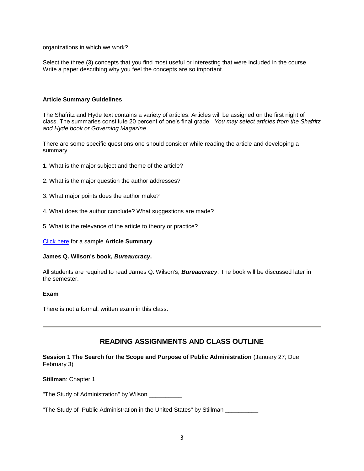organizations in which we work?

Select the three (3) concepts that you find most useful or interesting that were included in the course. Write a paper describing why you feel the concepts are so important.

### **Article Summary Guidelines**

The Shafritz and Hyde text contains a variety of articles. Articles will be assigned on the first night of class. The summaries constitute 20 percent of one's final grade. *You may select articles from the Shafritz and Hyde book or Governing Magazine.* 

There are some specific questions one should consider while reading the article and developing a summary.

- 1. What is the major subject and theme of the article?
- 2. What is the major question the author addresses?
- 3. What major points does the author make?
- 4. What does the author conclude? What suggestions are made?
- 5. What is the relevance of the article to theory or practice?

Click here for a sample **Article Summary**

#### **James Q. Wilson's book,** *Bureaucracy***.**

All students are required to read James Q. Wilson's, *Bureaucracy*. The book will be discussed later in the semester.

#### **Exam**

There is not a formal, written exam in this class.

# **READING ASSIGNMENTS AND CLASS OUTLINE**

**Session 1 The Search for the Scope and Purpose of Public Administration** (January 27; Due February 3)

**Stillman**: Chapter 1

"The Study of Administration" by Wilson \_\_\_\_\_\_\_\_\_\_\_

"The Study of Public Administration in the United States" by Stillman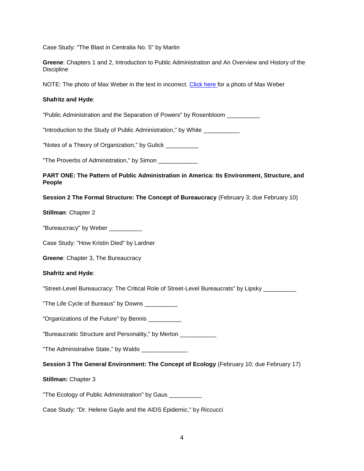Case Study: "The Blast in Centralia No. 5" by Martin

**Greene**: Chapters 1 and 2, Introduction to Public Administration and An Overview and History of the **Discipline** 

NOTE: The photo of Max Weber in the text in incorrect. Click here for a photo of Max Weber

#### **Shafritz and Hyde**:

"Public Administration and the Separation of Powers" by Rosenbloom \_\_\_\_\_\_\_\_\_\_

"Introduction to the Study of Public Administration," by White \_\_\_\_\_\_\_\_\_\_\_

"Notes of a Theory of Organization," by Gulick

"The Proverbs of Administration," by Simon \_\_\_\_\_\_\_\_\_\_\_\_\_\_

# **PART ONE: The Pattern of Public Administration in America: Its Environment, Structure, and People**

#### **Session 2 The Formal Structure: The Concept of Bureaucracy** (February 3; due February 10)

**Stillman**: Chapter 2

"Bureaucracy" by Weber \_\_\_\_\_\_\_\_\_

Case Study: "How Kristin Died" by Lardner

**Greene**: Chapter 3, The Bureaucracy

#### **Shafritz and Hyde**:

"Street-Level Bureaucracy: The Critical Role of Street-Level Bureaucrats" by Lipsky \_\_\_\_\_\_\_\_\_\_

"The Life Cycle of Bureaus" by Downs \_\_\_\_\_\_\_\_\_\_\_

"Organizations of the Future" by Bennis

"Bureaucratic Structure and Personality," by Merton \_\_\_\_\_\_\_\_\_\_\_

"The Administrative State," by Waldo \_\_\_\_\_\_\_\_\_\_\_\_\_\_

**Session 3 The General Environment: The Concept of Ecology** (February 10; due February 17)

**Stillman:** Chapter 3

"The Ecology of Public Administration" by Gaus \_\_\_\_\_\_\_\_\_\_

Case Study: "Dr. Helene Gayle and the AIDS Epidemic," by Riccucci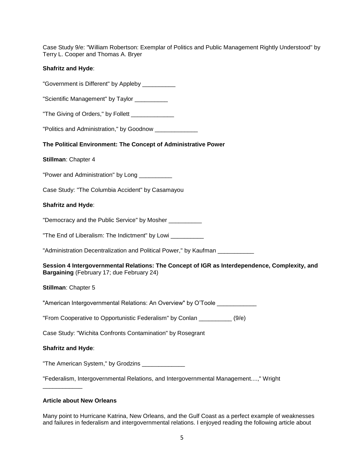Case Study 9/e: "William Robertson: Exemplar of Politics and Public Management Rightly Understood" by Terry L. Cooper and Thomas A. Bryer

### **Shafritz and Hyde**:

"Government is Different" by Appleby \_\_\_\_\_\_\_\_\_\_\_ "Scientific Management" by Taylor \_\_\_\_\_\_\_\_\_\_ "The Giving of Orders," by Follett \_\_\_\_\_\_\_\_\_\_\_\_\_\_ "Politics and Administration," by Goodnow \_\_\_\_\_\_\_\_\_\_\_\_\_ **The Political Environment: The Concept of Administrative Power Stillman**: Chapter 4 "Power and Administration" by Long \_\_\_\_\_\_\_\_\_ Case Study: "The Columbia Accident" by Casamayou **Shafritz and Hyde**: "Democracy and the Public Service" by Mosher "The End of Liberalism: The Indictment" by Lowi \_\_\_\_\_\_\_\_\_\_\_ "Administration Decentralization and Political Power," by Kaufman **Session 4 Intergovernmental Relations: The Concept of IGR as Interdependence, Complexity, and Bargaining** (February 17; due February 24) **Stillman**: Chapter 5 "American Intergovernmental Relations: An Overview" by O'Toole \_\_\_\_\_\_\_\_\_\_\_\_\_\_\_\_\_ "From Cooperative to Opportunistic Federalism" by Conlan \_\_\_\_\_\_\_\_\_\_ (9/e) Case Study: "Wichita Confronts Contamination" by Rosegrant **Shafritz and Hyde**: "The American System," by Grodzins \_\_\_\_\_\_\_\_\_\_\_\_\_

"Federalism, Intergovernmental Relations, and Intergovernmental Management....," Wright

# **Article about New Orleans**

\_\_\_\_\_\_\_\_\_\_\_\_

Many point to Hurricane Katrina, New Orleans, and the Gulf Coast as a perfect example of weaknesses and failures in federalism and intergovernmental relations. I enjoyed reading the following article about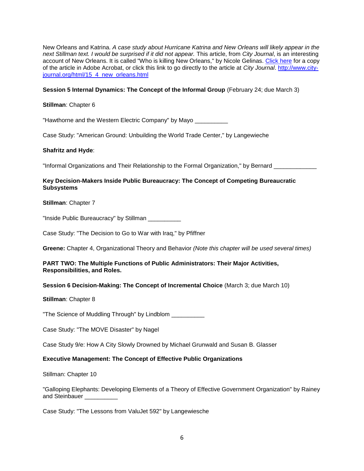New Orleans and Katrina. *A case study about Hurricane Katrina and New Orleans will likely appear in the next Stillman text. I would be surprised if it did not appear.* This article, from *City Journal*, is an interesting account of New Orleans. It is called "Who is killing New Orleans," by Nicole Gelinas. Click here for a copy of the article in Adobe Acrobat, or click this link to go directly to the article at *City Journal*. http://www.cityjournal.org/html/15\_4\_new\_orleans.html

# **Session 5 Internal Dynamics: The Concept of the Informal Group** (February 24; due March 3)

# **Stillman**: Chapter 6

"Hawthorne and the Western Electric Company" by Mayo \_\_\_\_\_\_\_\_\_\_

Case Study: "American Ground: Unbuilding the World Trade Center," by Langewieche

# **Shafritz and Hyde**:

"Informal Organizations and Their Relationship to the Formal Organization," by Bernard

# **Key Decision-Makers Inside Public Bureaucracy: The Concept of Competing Bureaucratic Subsystems**

# **Stillman**: Chapter 7

"Inside Public Bureaucracy" by Stillman \_\_\_\_\_\_\_\_\_\_

Case Study: "The Decision to Go to War with Iraq," by Pfiffner

**Greene:** Chapter 4, Organizational Theory and Behavior *(Note this chapter will be used several times)*

# **PART TWO: The Multiple Functions of Public Administrators: Their Major Activities, Responsibilities, and Roles.**

# **Session 6 Decision-Making: The Concept of Incremental Choice** (March 3; due March 10)

# **Stillman**: Chapter 8

"The Science of Muddling Through" by Lindblom \_\_\_\_\_\_\_\_\_\_

Case Study: "The MOVE Disaster" by Nagel

Case Study 9/e: How A City Slowly Drowned by Michael Grunwald and Susan B. Glasser

# **Executive Management: The Concept of Effective Public Organizations**

Stillman: Chapter 10

"Galloping Elephants: Developing Elements of a Theory of Effective Government Organization" by Rainey and Steinbauer

Case Study: "The Lessons from ValuJet 592" by Langewiesche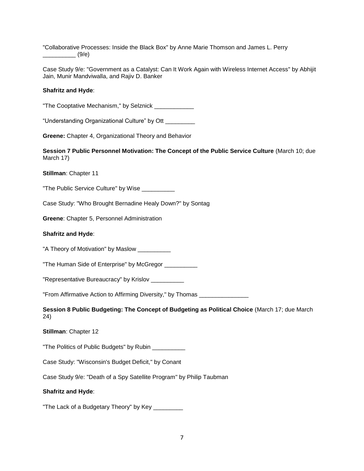"Collaborative Processes: Inside the Black Box" by Anne Marie Thomson and James L. Perry  $\qquad \qquad (9/e)$ 

Case Study 9/e: "Government as a Catalyst: Can It Work Again with Wireless Internet Access" by Abhijit Jain, Munir Mandviwalla, and Rajiv D. Banker

### **Shafritz and Hyde**:

"The Cooptative Mechanism," by Selznick \_\_\_\_\_\_\_\_\_\_\_\_

"Understanding Organizational Culture" by Ott \_\_\_\_\_\_\_\_\_

**Greene:** Chapter 4, Organizational Theory and Behavior

**Session 7 Public Personnel Motivation: The Concept of the Public Service Culture** (March 10; due March 17)

**Stillman**: Chapter 11

"The Public Service Culture" by Wise \_\_\_\_\_\_\_\_\_\_\_

Case Study: "Who Brought Bernadine Healy Down?" by Sontag

**Greene**: Chapter 5, Personnel Administration

### **Shafritz and Hyde**:

"A Theory of Motivation" by Maslow

"The Human Side of Enterprise" by McGregor \_\_\_\_\_\_\_\_\_\_

"Representative Bureaucracy" by Krislov \_\_\_\_\_\_\_\_\_\_

"From Affirmative Action to Affirming Diversity," by Thomas \_\_\_\_\_\_\_\_\_\_\_\_\_\_\_

**Session 8 Public Budgeting: The Concept of Budgeting as Political Choice** (March 17; due March 24)

**Stillman**: Chapter 12

"The Politics of Public Budgets" by Rubin \_\_\_\_\_\_\_\_\_\_

Case Study: "Wisconsin's Budget Deficit," by Conant

Case Study 9/e: "Death of a Spy Satellite Program" by Philip Taubman

#### **Shafritz and Hyde**:

"The Lack of a Budgetary Theory" by Key \_\_\_\_\_\_\_\_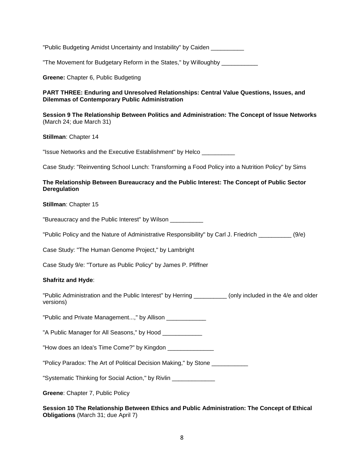| "Public Budgeting Amidst Uncertainty and Instability" by Caiden __________                                                                       |
|--------------------------------------------------------------------------------------------------------------------------------------------------|
| "The Movement for Budgetary Reform in the States," by Willoughby __________                                                                      |
| Greene: Chapter 6, Public Budgeting                                                                                                              |
| PART THREE: Enduring and Unresolved Relationships: Central Value Questions, Issues, and<br><b>Dilemmas of Contemporary Public Administration</b> |
| Session 9 The Relationship Between Politics and Administration: The Concept of Issue Networks<br>(March 24; due March 31)                        |
| Stillman: Chapter 14                                                                                                                             |
| "Issue Networks and the Executive Establishment" by Helco ___________                                                                            |
| Case Study: "Reinventing School Lunch: Transforming a Food Policy into a Nutrition Policy" by Sims                                               |
| The Relationship Between Bureaucracy and the Public Interest: The Concept of Public Sector<br><b>Deregulation</b>                                |
| Stillman: Chapter 15                                                                                                                             |
| "Bureaucracy and the Public Interest" by Wilson ___________                                                                                      |
| "Public Policy and the Nature of Administrative Responsibility" by Carl J. Friedrich __________ (9/e)                                            |
| Case Study: "The Human Genome Project," by Lambright                                                                                             |
| Case Study 9/e: "Torture as Public Policy" by James P. Pfiffner                                                                                  |
| <b>Shafritz and Hyde:</b>                                                                                                                        |
| "Public Administration and the Public Interest" by Herring __________(only included in the 4/e and older<br>versions)                            |
| "Public and Private Management," by Allison ______________                                                                                       |
| "A Public Manager for All Seasons," by Hood _____________                                                                                        |
| "How does an Idea's Time Come?" by Kingdon ________________                                                                                      |
| "Policy Paradox: The Art of Political Decision Making," by Stone ___________                                                                     |
| "Systematic Thinking for Social Action," by Rivlin _____________                                                                                 |
| Greene: Chapter 7, Public Policy                                                                                                                 |
|                                                                                                                                                  |

**Session 10 The Relationship Between Ethics and Public Administration: The Concept of Ethical Obligations** (March 31; due April 7)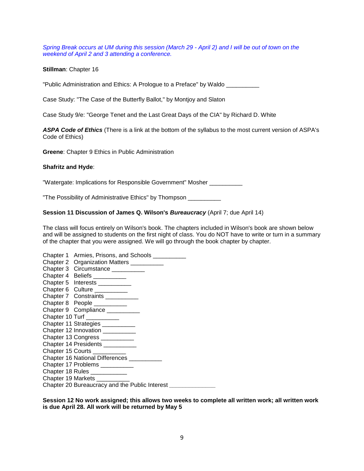*Spring Break occurs at UM during this session (March 29 - April 2) and I will be out of town on the weekend of April 2 and 3 attending a conference.* 

**Stillman**: Chapter 16

"Public Administration and Ethics: A Prologue to a Preface" by Waldo \_\_\_\_\_\_\_\_\_\_

Case Study: "The Case of the Butterfly Ballot," by Montjoy and Slaton

Case Study 9/e: "George Tenet and the Last Great Days of the CIA" by Richard D. White

*ASPA Code of Ethics* (There is a link at the bottom of the syllabus to the most current version of ASPA's Code of Ethics)

**Greene**: Chapter 9 Ethics in Public Administration

#### **Shafritz and Hyde**:

"Watergate: Implications for Responsible Government" Mosher \_\_\_\_\_\_\_\_\_\_

"The Possibility of Administrative Ethics" by Thompson \_\_\_\_\_\_\_\_\_\_

#### **Session 11 Discussion of James Q. Wilson's** *Bureaucracy* (April 7; due April 14)

The class will focus entirely on Wilson's book. The chapters included in Wilson's book are shown below and will be assigned to students on the first night of class. You do NOT have to write or turn in a summary of the chapter that you were assigned. We will go through the book chapter by chapter.

| Chapter 1 Armies, Prisons, and Schools __________ |
|---------------------------------------------------|
| Chapter 2 Organization Matters __________         |
| Chapter 3 Circumstance _________                  |
| Chapter 4 Beliefs _________                       |
| Chapter 5 Interests __________                    |
| Chapter 6 Culture __________                      |
| Chapter 7 Constraints __________                  |
| Chapter 8 People _________                        |
| Chapter 9 Compliance __________                   |
| Chapter 10 Turf __________                        |
| Chapter 11 Strategies __________                  |
| Chapter 12 Innovation __________                  |
| Chapter 13 Congress __________                    |
| Chapter 14 Presidents _________                   |
| Chapter 15 Courts __________                      |
| Chapter 16 National Differences __________        |
| Chapter 17 Problems _________                     |
| Chapter 18 Rules ____________                     |
| Chapter 19 Markets __________                     |
| Chapter 20 Bureaucracy and the Public Interest    |

**Session 12 No work assigned; this allows two weeks to complete all written work; all written work is due April 28. All work will be returned by May 5**